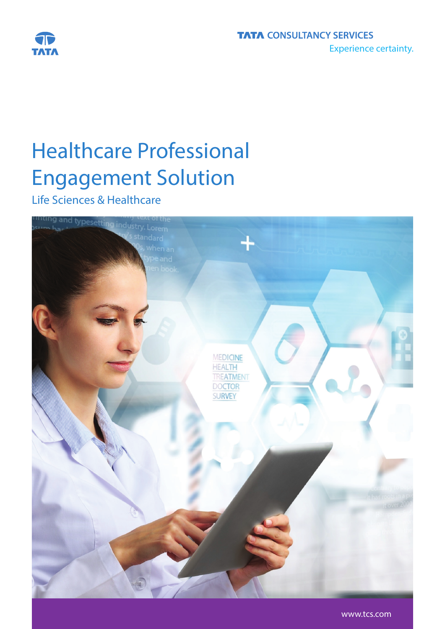

# Healthcare Professional Engagement Solution

Life Sciences & Healthcare

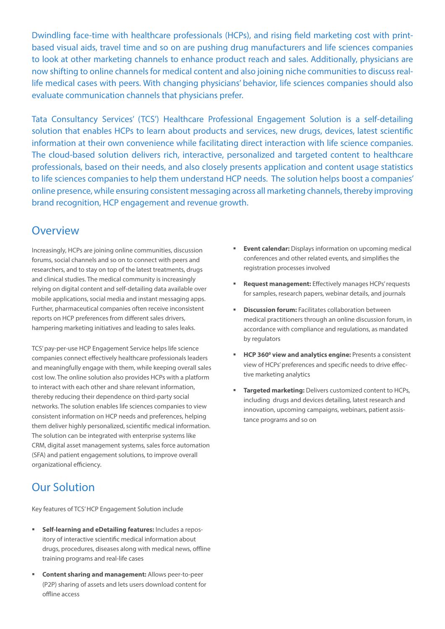Dwindling face-time with healthcare professionals (HCPs), and rising field marketing cost with printbased visual aids, travel time and so on are pushing drug manufacturers and life sciences companies to look at other marketing channels to enhance product reach and sales. Additionally, physicians are now shifting to online channels for medical content and also joining niche communities to discuss reallife medical cases with peers. With changing physicians' behavior, life sciences companies should also evaluate communication channels that physicians prefer.

Tata Consultancy Services' (TCS') Healthcare Professional Engagement Solution is a self-detailing solution that enables HCPs to learn about products and services, new drugs, devices, latest scientific information at their own convenience while facilitating direct interaction with life science companies. The cloud-based solution delivers rich, interactive, personalized and targeted content to healthcare professionals, based on their needs, and also closely presents application and content usage statistics to life sciences companies to help them understand HCP needs. The solution helps boost a companies' online presence, while ensuring consistent messaging across all marketing channels, thereby improving brand recognition, HCP engagement and revenue growth.

#### **Overview**

Increasingly, HCPs are joining online communities, discussion forums, social channels and so on to connect with peers and researchers, and to stay on top of the latest treatments, drugs and clinical studies. The medical community is increasingly relying on digital content and self-detailing data available over mobile applications, social media and instant messaging apps. Further, pharmaceutical companies often receive inconsistent reports on HCP preferences from different sales drivers, hampering marketing initiatives and leading to sales leaks.

TCS' pay-per-use HCP Engagement Service helps life science companies connect effectively healthcare professionals leaders and meaningfully engage with them, while keeping overall sales cost low. The online solution also provides HCPs with a platform to interact with each other and share relevant information, thereby reducing their dependence on third-party social networks. The solution enables life sciences companies to view consistent information on HCP needs and preferences, helping them deliver highly personalized, scientific medical information. The solution can be integrated with enterprise systems like CRM, digital asset management systems, sales force automation (SFA) and patient engagement solutions, to improve overall organizational efficiency.

# Our Solution

Key features of TCS' HCP Engagement Solution include

- **Self-learning and eDetailing features:** Includes a repository of interactive scientific medical information about drugs, procedures, diseases along with medical news, offline training programs and real-life cases
- **Content sharing and management:** Allows peer-to-peer (P2P) sharing of assets and lets users download content for offline access
- **Event calendar:** Displays information on upcoming medical conferences and other related events, and simplifies the registration processes involved
- **Request management:** Effectively manages HCPs' requests for samples, research papers, webinar details, and journals
- **Discussion forum:** Facilitates collaboration between medical practitioners through an online discussion forum, in accordance with compliance and regulations, as mandated by regulators
- **HCP 360<sup>°</sup> view and analytics engine: Presents a consistent** view of HCPs' preferences and specific needs to drive effective marketing analytics
- **Targeted marketing:** Delivers customized content to HCPs, including drugs and devices detailing, latest research and innovation, upcoming campaigns, webinars, patient assistance programs and so on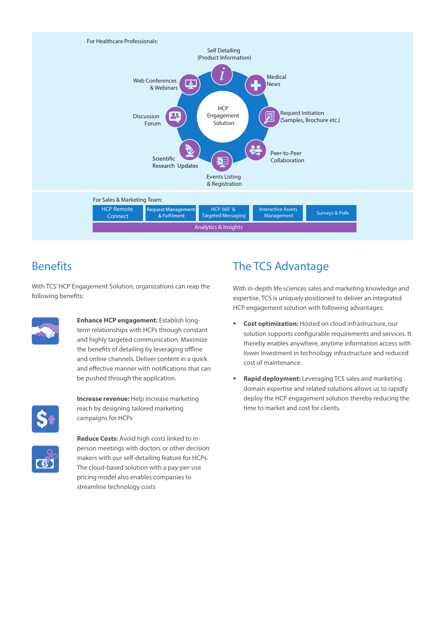

### **Benefits**

With TCS' HCP Engagement Solution, organizations can reap the following benefits:



**Enhance HCP engagement:** Establish longterm relationships with HCPs through constant and highly targeted communication. Maximize the benefits of detailing by leveraging offline and online channels. Deliver content in a quick and effective manner with notifications that can be pushed through the application.



**Increase revenue:** Help increase marketing reach by designing tailored marketing campaigns for HCPs



**Reduce Costs:** Avoid high costs linked to inperson meetings with doctors or other decision makers with our self-detailing feature for HCPs. The cloud-based solution with a pay-per-use pricing model also enables companies to streamline technology costs

# The TCS Advantage

With in-depth life sciences sales and marketing knowledge and expertise, TCS is uniquely positioned to deliver an integrated HCP engagement solution with following advantages:

- **Cost optimization:** Hosted on cloud infrastructure, our solution supports configurable requirements and services. It thereby enables anywhere, anytime information access with lower investment in technology infrastructure and reduced cost of maintenance.
- **Rapid deployment:** Leveraging TCS sales and marketing domain expertise and related solutions allows us to rapidly deploy the HCP engagement solution thereby reducing the time to market and cost for clients.